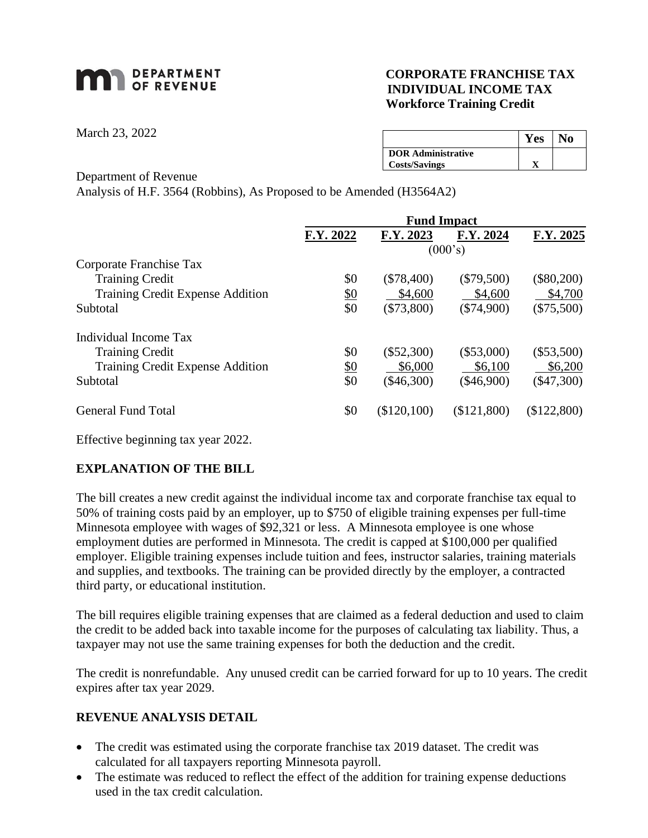# **MAN** DEPARTMENT

## **CORPORATE FRANCHISE TAX INDIVIDUAL INCOME TAX Workforce Training Credit**

March 23, 2022

|                           | <b>Yes</b> | No |
|---------------------------|------------|----|
| <b>DOR</b> Administrative |            |    |
| <b>Costs/Savings</b>      |            |    |

#### Department of Revenue

Analysis of H.F. 3564 (Robbins), As Proposed to be Amended (H3564A2)

|                                  | <b>Fund Impact</b> |              |              |              |
|----------------------------------|--------------------|--------------|--------------|--------------|
|                                  | F.Y. 2022          | F.Y. 2023    | F.Y. 2024    | F.Y. 2025    |
|                                  | (000's)            |              |              |              |
| Corporate Franchise Tax          |                    |              |              |              |
| <b>Training Credit</b>           | \$0                | $(\$78,400)$ | $(\$79,500)$ | $(\$80,200)$ |
| Training Credit Expense Addition | <u>\$0</u>         | \$4,600      | \$4,600      | \$4,700      |
| Subtotal                         | \$0                | $(\$73,800)$ | $(\$74,900)$ | $(\$75,500)$ |
| Individual Income Tax            |                    |              |              |              |
| <b>Training Credit</b>           | \$0                | $(\$52,300)$ | $(\$53,000)$ | $(\$53,500)$ |
| Training Credit Expense Addition | <u>\$0</u>         | \$6,000      | \$6,100      | \$6,200      |
| Subtotal                         | \$0                | $(\$46,300)$ | $(\$46,900)$ | $(\$47,300)$ |
| General Fund Total               | \$0                | (\$120,100)  | (\$121,800)  | (\$122,800)  |

Effective beginning tax year 2022.

## **EXPLANATION OF THE BILL**

The bill creates a new credit against the individual income tax and corporate franchise tax equal to 50% of training costs paid by an employer, up to \$750 of eligible training expenses per full-time Minnesota employee with wages of \$92,321 or less. A Minnesota employee is one whose employment duties are performed in Minnesota. The credit is capped at \$100,000 per qualified employer. Eligible training expenses include tuition and fees, instructor salaries, training materials and supplies, and textbooks. The training can be provided directly by the employer, a contracted third party, or educational institution.

The bill requires eligible training expenses that are claimed as a federal deduction and used to claim the credit to be added back into taxable income for the purposes of calculating tax liability. Thus, a taxpayer may not use the same training expenses for both the deduction and the credit.

The credit is nonrefundable. Any unused credit can be carried forward for up to 10 years. The credit expires after tax year 2029.

## **REVENUE ANALYSIS DETAIL**

- The credit was estimated using the corporate franchise tax 2019 dataset. The credit was calculated for all taxpayers reporting Minnesota payroll.
- The estimate was reduced to reflect the effect of the addition for training expense deductions used in the tax credit calculation.